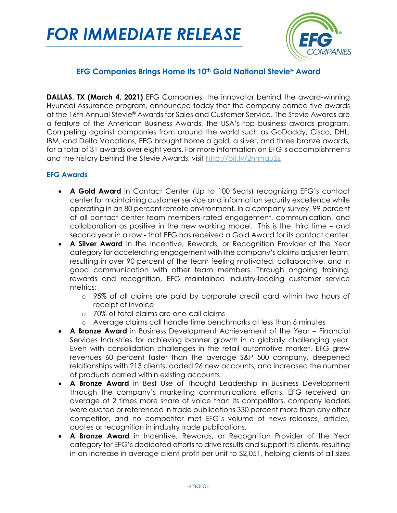# *FOR IMMEDIATE RELEASE*



# **EFG Companies Brings Home Its 10th Gold National Stevie**® **Award**

**DALLAS, TX (March 4, 2021)** EFG Companies, the innovator behind the award-winning Hyundai Assurance program, announced today that the company earned five awards at the 16th Annual Stevie® Awards for Sales and Customer Service. The Stevie Awards are a feature of the American Business Awards, the USA's top business awards program. Competing against companies from around the world such as GoDaddy, Cisco, DHL, IBM, and Delta Vacations, EFG brought home a gold, a silver, and three bronze awards, for a total of 31 awards over eight years. For more information on EFG's accomplishments and the history behind the Stevie Awards, visit<http://bit.ly/2mmqu2z>

## **EFG Awards**

- **A Gold Award** in Contact Center (Up to 100 Seats) recognizing EFG's contact center for maintaining customer service and information security excellence while operating in an 80 percent remote environment. In a company survey, 99 percent of all contact center team members rated engagement, communication, and collaboration as positive in the new working model. This is the third time – and second year in a row - that EFG has received a Gold Award for its contact center.
- **A Silver Award** in the Incentive, Rewards, or Recognition Provider of the Year category for accelerating engagement with the company's claims adjuster team, resulting in over 90 percent of the team feeling motivated, collaborative, and in good communication with other team members. Through ongoing training, rewards and recognition, EFG maintained industry-leading customer service metrics:
	- o 95% of all claims are paid by corporate credit card within two hours of receipt of invoice
	- o 70% of total claims are one-call claims
	- o Average claims call handle time benchmarks at less than 6 minutes
- **A Bronze Award** in Business Development Achievement of the Year Financial Services Industries for achieving banner growth in a globally challenging year. Even with consolidation challenges in the retail automotive market, EFG grew revenues 60 percent faster than the average S&P 500 company, deepened relationships with 213 clients, added 26 new accounts, and increased the number of products carried within existing accounts.
- **A Bronze Award** in Best Use of Thought Leadership in Business Development through the company's marketing communications efforts. EFG received an average of 2 times more share of voice than its competitors, company leaders were quoted or referenced in trade publications 330 percent more than any other competitor, and no competitor met EFG's volume of news releases, articles, quotes or recognition in industry trade publications.
- **A Bronze Award** in Incentive, Rewards, or Recognition Provider of the Year category for EFG's dedicated efforts to drive results and support its clients, resulting in an increase in average client profit per unit to \$2,051, helping clients of all sizes